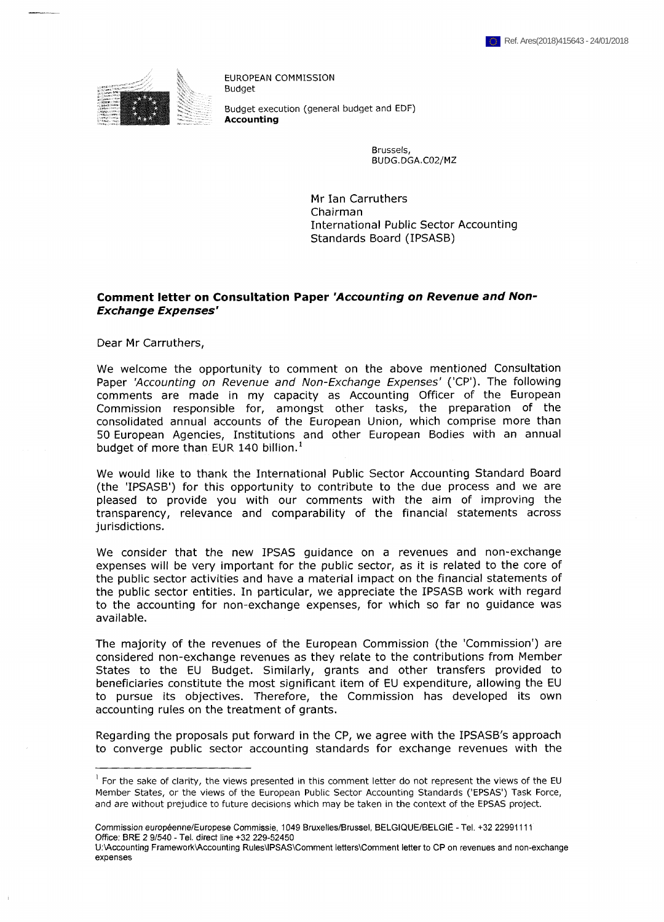

EUROPEAN COMMISSION Budget Budget execution (general budget and EDF) **Accounting**

> Brussels, BUDG.DGA.C02/MZ

Mr Ian Carruthers Chairman International Public Sector Accounting Standards Board (IPSASB)

# **Comment letter on Consultation Paper** *'Accounting on Revenue and Non-Exchange Expenses'*

Dear Mr Carruthers,

We welcome the opportunity to comment on the above mentioned Consultation Paper *'Accounting on Revenue and Non-Exchange Expenses'* ('CP'). The following comments are made in my capacity as Accounting Officer of the European Commission responsible for, amongst other tasks, the preparation of the consolidated annual accounts of the European Union, which comprise more than 50 European Agencies, Institutions and other European Bodies with an annual budget of more than EUR 140 billion.<sup>1</sup>

We would like to thank the International Public Sector Accounting Standard Board (the 'IPSASB') for this opportunity to contribute to the due process and we are pleased to provide you with our comments with the aim of improving the transparency, relevance and comparability of the financial statements across jurisdictions.

We consider that the new IPSAS guidance on a revenues and non-exchange expenses will be very important for the public sector, as it is related to the core of the public sector activities and have a material impact on the financial statements of the public sector entities. In particular, we appreciate the IPSASB work with regard to the accounting for non-exchange expenses, for which so far no guidance was available.

The majority of the revenues of the European Commission (the 'Commission') are considered non-exchange revenues as they relate to the contributions from Member States to the EU Budget. Similarly, grants and other transfers provided to beneficiaries constitute the most significant item of EU expenditure, allowing the EU to pursue its objectives. Therefore, the Commission has developed its own accounting rules on the treatment of grants.

Regarding the proposals put forward in the CP, we agree with the IPSASB's approach to converge public sector accounting standards for exchange revenues with the

 $<sup>1</sup>$  For the sake of clarity, the views presented in this comment letter do not represent the views of the EU</sup> Member States, or the views of the European Public Sector Accounting Standards ('EPSAS') Task Force, and are without prejudice to future decisions which may be taken in the context of the EPSAS project.

Commission européenne/Europese Commissie, 1049 Bruxelles/Brussel, BELGIQUE/BELGIË - Tel. +32 22991111 Office: BRE 2 9/540 - Tel. direct line +32 229-52450

U:\Accounting Framework\Accounting Rules\IPSAS\Comment letters\Comment letter to CP on revenues and non-exchange expenses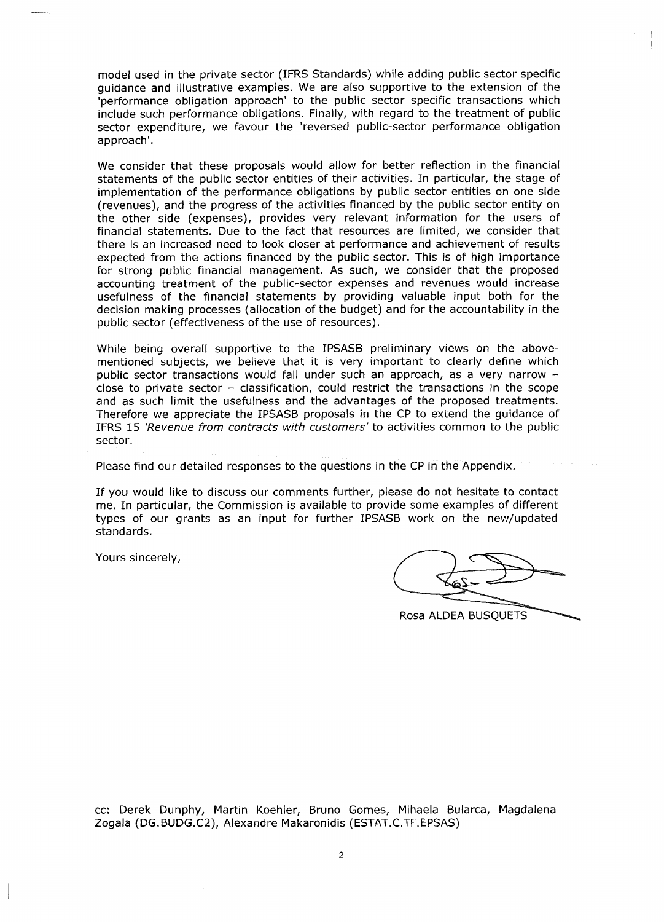model used in the private sector (IFRS Standards) while adding public sector specific guidance and illustrative examples. We are also supportive to the extension of the 'performance obligation approach' to the public sector specific transactions which include such performance obligations. Finally, with regard to the treatment of public sector expenditure, we favour the 'reversed public-sector performance obligation approach'.

We consider that these proposals would allow for better reflection in the financial statements of the public sector entities of their activities. In particular, the stage of implementation of the performance obligations by public sector entities on one side (revenues), and the progress of the activities financed by the public sector entity on the other side (expenses), provides very relevant information for the users of financial statements. Due to the fact that resources are limited, we consider that there is an increased need to look closer at performance and achievement of results expected from the actions financed by the public sector. This is of high importance for strong public financial management. As such, we consider that the proposed accounting treatment of the public-sector expenses and revenues would increase usefulness of the financial statements by providing valuable input both for the decision making processes (allocation of the budget) and for the accountability in the public sector (effectiveness of the use of resources).

While being overall supportive to the IPSASB preliminary views on the abovementioned subjects, we believe that it is very important to clearly define which public sector transactions would fall under such an approach, as <sup>a</sup> very narrow close to private sector  $-$  classification, could restrict the transactions in the scope and as such limit the usefulness and the advantages of the proposed treatments. Therefore we appreciate the IPSASB proposals in the CP to extend the guidance of IFRS 15 *'Revenue from contracts with customers'* to activities common to the public sector.

Please find our detailed responses to the questions in the CP in the Appendix.

If you would like to discuss our comments further, please do not hesitate to contact me. In particular, the Commission is available to provide some examples of different types of our grants as an input for further IPSASB work on the new/updated standards.

Yours sincerely,

Rosa ALDEA BUSQUETS

cc: Derek Dunphy, Martin Koehler, Bruno Gomes, Mihaela Bularca, Magdalena Žogala (DG.BUDG.C2), Alexandre Makaronidis (ESTAT.C.TF.EPSAS)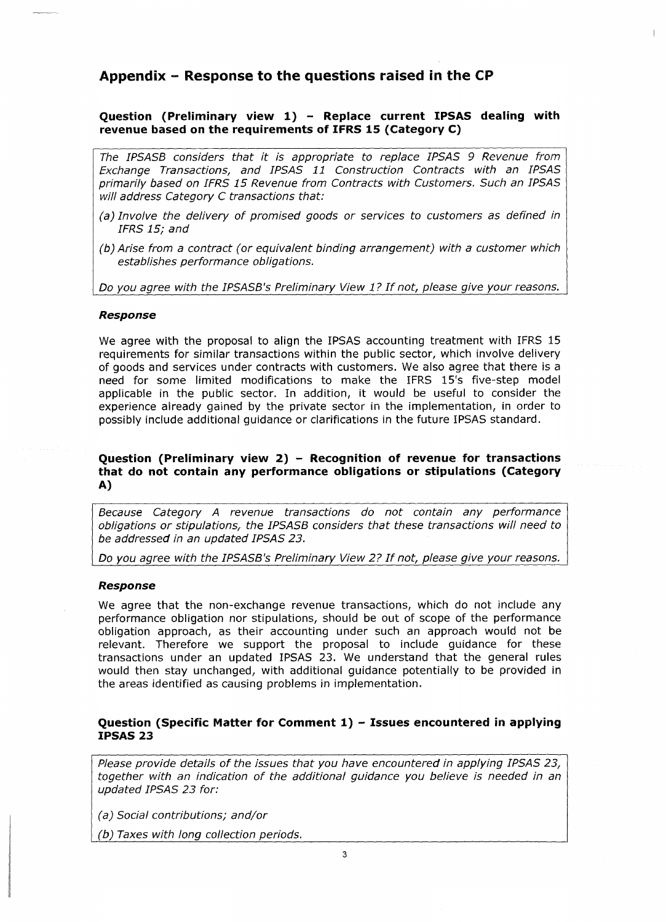# **Appendix - Response to the questions raised in the CP**

# **Question (Preliminary view 1) - Replace current IPSAS dealing with revenue based on the requirements of IFRS 15 (Category C)**

*The IPSASB considers that it is appropriate to replace IPSAS 9 Revenue from Exchange Transactions, and IPSAS 11 Construction Contracts with an IPSAS primarily based on IFRS 15 Revenue from Contracts with Customers. Such an IPSAS will address Category C transactions that:*

- *(a) Involve the delivery of promised goods or services to customers as defined in IFRS 15; and*
- *(b) Arise from a contract (or equivalent binding arrangement) with a customer which establishes performance obligations.*

*Do you agree with the IPSASB's Preliminary View <sup>1</sup> ? Ifnot, please give your reasons.*

#### *Response*

We agree with the proposal to align the IPSAS accounting treatment with IFRS 15 requirements *for* similar transactions within the public sector, which involve delivery of goods and services under contracts with customers. We also agree that there is a need for some limited modifications to make the IFRS 15's five-step model applicable in the public sector. In addition, it would be useful to consider the experience already gained by the private sector in the implementation, in order to possibly include additional guidance or clarifications in the future IPSAS standard.

# **Question (Preliminary view 2) - Recognition of revenue for transactions that do not contain any performance obligations or stipulations (Category A)**

*Because Category A revenue transactions do not contain any performance obligations or stipulations, the IPSASB considers that these transactions will need to be addressed in an updated IPSAS 23.*

*Do you agree with the IPSASB's Preliminary View 2? If not, please give your reasons.*

#### *Response*

We agree that the non-exchange revenue transactions, which do not include any performance obligation nor stipulations, should be out of scope of the performance obligation approach, as their accounting under such an approach would not be relevant. Therefore we support the proposal to include guidance for these transactions under an updated IPSAS 23. We understand that the general rules would then stay unchanged, with additional guidance potentially to be provided in the areas identified as causing problems in implementation.

# **Question (Specific Matter for Comment 1) - Issues encountered in applying IPSAS 23**

*Please provide details of the issues that you have encountered in applying IPSAS 23, together with an indication of the additional guidance you believe is needed in an updated IPSAS 23 for:*

*(a) Social contributions; and/or*

*(b) Taxes with long collection periods.*\_\_\_\_\_\_\_\_\_\_\_\_\_\_\_\_\_\_\_\_\_\_\_\_\_\_\_\_\_\_\_\_\_\_\_\_\_\_\_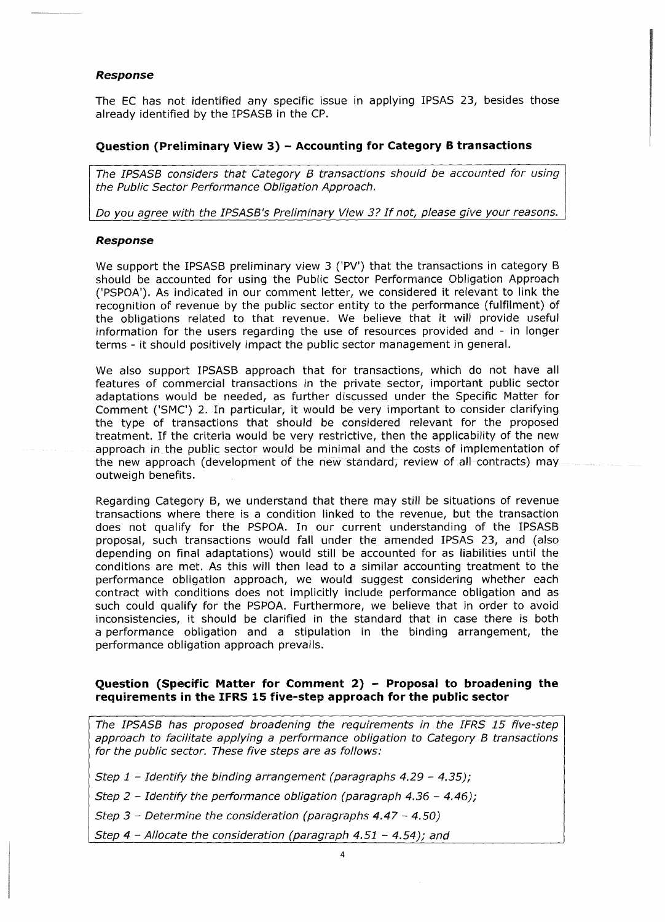# *Response*

The EC has not identified any specific issue in applying IPSAS 23, besides those already identified by the IPSASB in the CP.

# **Question (Preliminary View 3) - Accounting for Category <sup>B</sup> transactions**

*The IPSASB considers that Category B transactions should be accounted for using the Public Sector Performance Obligation Approach.*

*Do you agree with the IPSASB's Preliminary View 3? Ifnot, please give your reasons.*

#### *Response*

We support the IPSASB preliminary view 3 ('PV') that the transactions in category <sup>B</sup> should be accounted for using the Public Sector Performance Obligation Approach ('PSPOA'). As indicated in our comment letter, we considered it relevant to link the recognition of revenue by the public sector entity to the performance (fulfilment) of the obligations related to that revenue. We believe that it will provide useful information for the users regarding the use of resources provided and - in longer terms - it should positively impact the public sector management in general.

We also support IPSASB approach that for transactions, which do not have all features of commercial transactions in the private sector, important public sector adaptations would be needed, as further discussed under the Specific Matter for Comment ('SMC') 2. In particular, it would be very important to consider clarifying the type of transactions that should be considered relevant for the proposed treatment. If the criteria would be very restrictive, then the applicability of the new approach in the public sector would be minimal and the costs of implementation of the new approach (development of the new standard, review of all contracts) may outweigh benefits.

Regarding Category B, we understand that there may still be situations of revenue transactions where there is a condition linked to the revenue, but the transaction does not qualify for the PSPOA. In our current understanding of the IPSASB proposal, such transactions would fall under the amended IPSAS 23, and (also depending on final adaptations) would still be accounted for as liabilities until the conditions are met. As this will then lead to a similar accounting treatment to the performance obligation approach, we would suggest considering whether each contract with conditions does not implicitly include performance obligation and as such could qualify for the PSPOA. Furthermore, we believe that in order to avoid inconsistencies, it should be clarified in the standard that in case there is both a performance obligation and a stipulation in the binding arrangement, the performance obligation approach prevails.

# **Question (Specific Matter for Comment 2) - Proposai to broadening the requirements in the IFRS 15 five-step approach for the public sector**

*The IPSASB has proposed broadening the requirements In the IFRS 15 five-step approach to facilitate applying a performance obligation to Category B transactions for the public sector. These five steps are as follows:*

*Step <sup>1</sup> - Identify the binding arrangement (paragraphs 4.29 - 4.35);*

*Step <sup>2</sup> - Identify the performance obligation (paragraph 4.36 - 4.46);*

*Step <sup>3</sup> - Determine the consideration (paragraphs 4.47 - 4.50)*

*Step <sup>4</sup> - Allocate the consideration (paragraph 4.51 - 4.54); and*\_\_\_\_\_\_\_\_\_\_\_\_\_\_\_\_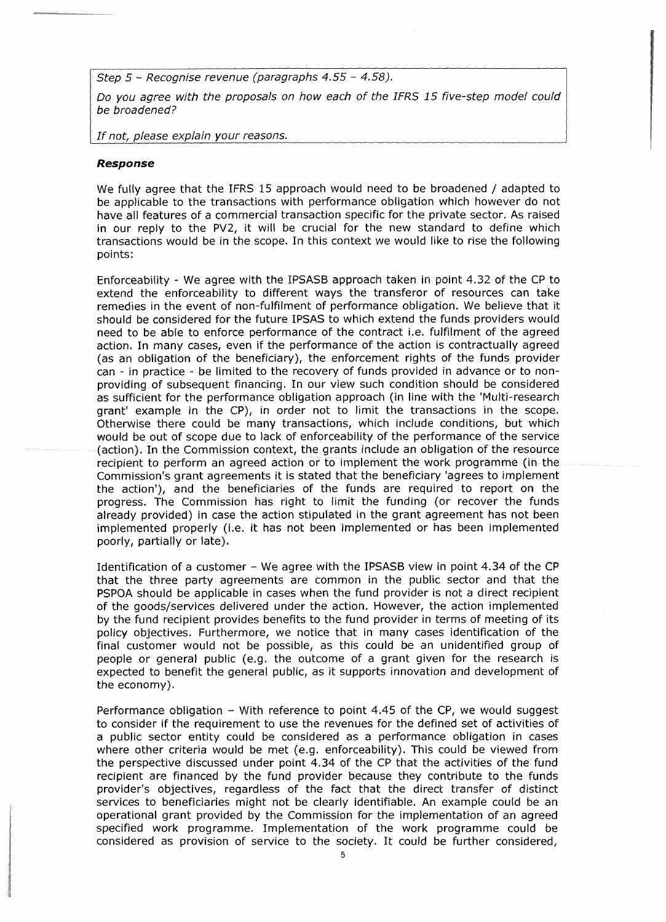*Step 5* - *Recognise revenue (paragraphs 4.55 - 4.58).*

*Do you agree with the proposais on how each of the IFRS 15 five-step model could be broadened?*

*If not, please explain your reasons.*\_\_\_\_\_\_\_\_\_\_\_\_\_\_\_\_\_\_\_\_\_\_\_\_\_\_\_\_\_\_\_\_\_\_ \_

#### *Response*

We fully agree that the IFRS <sup>15</sup> approach would need to be broadened / adapted to be applicable to the transactions with performance obligation which however do not have all features of a commercial transaction specific for the private sector. As raised in our reply to the PV2, it will be crucial for the new standard to define which transactions would be in the scope. In this context we would like to rise the following points:

Enforceability - We agree with the IPSASB approach taken in point 4.32 of the CP to extend the enforceability to different ways the transferor of resources can take remedies in the event of non-fulfilment of performance obligation. We believe that it should be considered for the future IPSAS to which extend the funds providers would need to be able to enforce performance of the contract i.e. fulfilment of the agreed action. In many cases, even if the performance of the action is contractually agreed (as an obligation of the beneficiary), the enforcement rights of the funds provider can - in practice - be limited to the recovery of funds provided in advance or to nonproviding of subsequent financing. In our view such condition should be considered as sufficient for the performance obligation approach (in line with the 'Multi-research grant' example in the CP), in order not to limit the transactions in the scope. Otherwise there could be many transactions, which include conditions, but which would be out of scope due to lack of enforceability of the performance of the service (action). In the Commission context, the grants include an obligation of the resource recipient to perform an agreed action or to implement the work programme (in the Commission's grant agreements it is stated that the beneficiary 'agrees to implement the action'), and the beneficiaries of the funds are required to report on the progress. The Commission has right to limit the funding (or recover the funds already provided) in case the action stipulated in the grant agreement has not been implemented properly (i.e. it has not been implemented or has been implemented poorly, partially or late).

Identification of a customer - We agree with the IPSASB view in point 4.34 of the CP that the three party agreements are common in the public sector and that the PSPOA should be applicable in cases when the fund provider is not a direct recipient of the goods/services delivered under the action. However, the action implemented by the fund recipient provides benefits to the fund provider in terms of meeting of its policy objectives. Furthermore, we notice that in many cases identification of the final customer would not be possible, as this could be an unidentified group of people or general public (e.g. the outcome of a grant given for the research is expected to benefit the general public, as it supports innovation and development of the economy).

Performance obligation  $-$  With reference to point 4.45 of the CP, we would suggest to consider if the requirement to use the revenues for the defined set of activities of a public sector entity could be considered as a performance obligation in cases where other criteria would be met (e.g. enforceability). This could be viewed from the perspective discussed under point 4.34 of the CP that the activities of the fund recipient are financed by the fund provider because they contribute to the funds provider's objectives, regardless of the fact that the direct transfer of distinct services to beneficiaries might not be clearly identifiable. An example could be an operational grant provided by the Commission for the implementation of an agreed specified work programme. Implementation of the work programme could be considered as provision of service to the society. It could be further considered,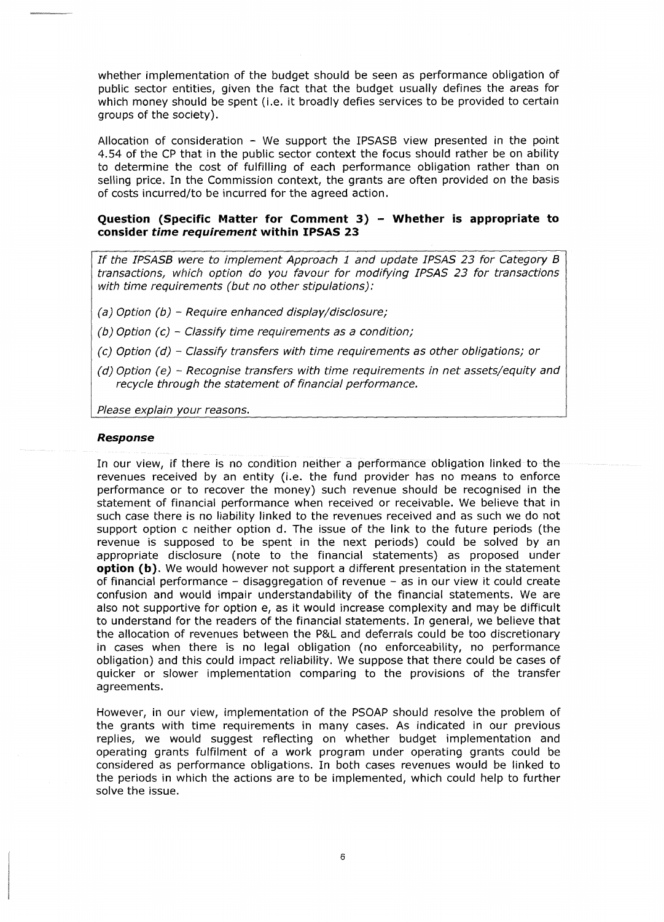whether implementation of the budget should be seen as performance obligation of public sector entities, given the fact that the budget usually defines the areas for which money should be spent (i.e. it broadly defies services to be provided to certain groups of the society).

Allocation of consideration  $-$  We support the IPSASB view presented in the point 4.54 of the CP that in the public sector context the focus should rather be on ability to determine the cost of fulfilling of each performance obligation rather than on selling price. In the Commission context, the grants are often provided on the basis of costs incurred/to be incurred for the agreed action.

### **Question (Specific Matter for Comment 3) - Whether is appropriate to consider** *time requirement* **within IPSAS 23**

*If the IPSASB were to implement Approach <sup>1</sup> and update IPSAS 23 for Category <sup>B</sup> transactions, which option do you favour for modifying IPSAS 23 for transactions with time requirements (but no other stipulations):*

- *(a) Option (b) - Require enhanced display/disclosure;*
- *(b) Option (c) - Classify time requirements as <sup>a</sup> condition;*
- *(c) Option (d) - Classify transfers with time requirements as other obligations; or*
- *(d) Option (e) - Recognise transfers with time requirements in net assets/equity and recycle through the statement of financiai performance.*

*Please explain your reasons.*\_\_\_\_\_\_\_\_\_\_\_\_\_\_\_\_\_\_\_\_\_\_\_\_\_\_\_\_\_\_\_\_\_\_\_\_\_\_\_\_\_\_\_\_\_\_\_

#### *Response*

In our view, if there is no condition neither a performance obligation linked to the revenues received by an entity (i.e. the fund provider has no means to enforce performance or to recover the money) such revenue should be recognised in the statement of financial performance when received or receivable. We believe that in such case there is no liability linked to the revenues received and as such we do not support option c neither option d. The issue of the link to the future periods (the revenue is supposed to be spent in the next periods) could be solved by an appropriate disclosure (note to the financial statements) as proposed under **option (b).** We would however not support a different presentation in the statement of financial performance - disaggregation of revenue - as in our view it could create confusion and would impair understandability of the financial statements. We are also not supportive for option e, as it would increase complexity and may be difficult to understand for the readers of the financial statements. In general, we believe that the allocation of revenues between the P&L and deferrals could be too discretionary in cases when there is no legal obligation (no enforceability, no performance obligation) and this could impact reliability. We suppose that there could be cases of quicker or slower implementation comparing to the provisions of the transfer agreements.

However, in our view, implementation of the PSOAP should resolve the problem of the grants with time requirements in many cases. As indicated in our previous replies, we would suggest reflecting on whether budget implementation and operating grants fulfilment of a work program under operating grants could be considered as performance obligations. In both cases revenues would be linked to the periods in which the actions are to be implemented, which could help to further solve the issue.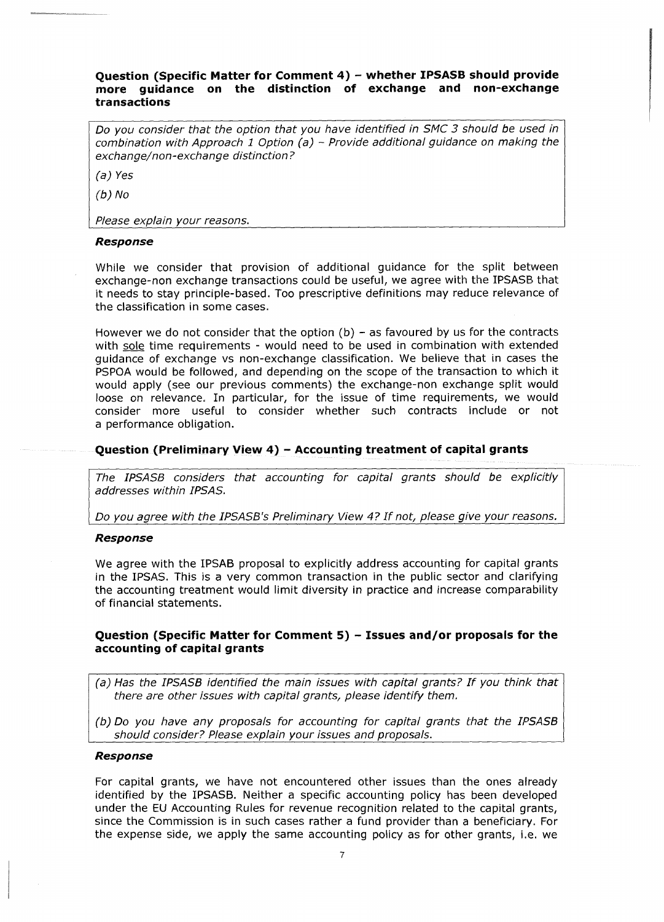# **Question (Specific Matter for Comment 4) - whether IPSASB should provide more guidance on the distinction of exchange and non-exchange transactions**

*Do you consider that the option that you have identified in SMC 3 should be used in combination with Approach <sup>1</sup> Option (a)* - *Provide additional guidance on making the exchange/non-exchange distinction ?*

*(a) Yes*

*(b) No*

*Please explain your reasons.* \_\_\_\_\_\_\_\_\_\_\_\_\_\_\_\_\_\_\_\_\_\_\_\_\_\_\_\_\_\_\_\_

#### *Response*

While we consider that provision of additional guidance for the split between exchange-non exchange transactions could be useful, we agree with the IPSASB that it needs to stay principle-based. Too prescriptive definitions may reduce relevance of the classification in some cases.

However we do not consider that the option  $(b)$  – as favoured by us for the contracts with sole time requirements - would need to be used in combination with extended guidance of exchange vs non-exchange classification. We believe that in cases the PSPOA would be followed, and depending on the scope of the transaction to which it would apply (see our previous comments) the exchange-non exchange split would loose on relevance. In particular, for the issue of time requirements, we would consider more useful to consider whether such contracts include or not a performance obligation.

# **Question (Preliminary View 4) - Accounting treatment of capital grants**

*The IPSASB considers that accounting for capital grants should be explicitly addresses within IPSAS.*

*Do you agree with the IPSASB's Preliminary View 4? If not, please give your reasons.*

#### *Response*

We agree with the IPSAB proposal to explicitly address accounting for capital grants in the IPSAS. This is a very common transaction in the public sector and clarifying the accounting treatment would limit diversity in practice and increase comparability of financial statements.

# **Question (Specific Matter for Comment 5) - Issues and/or proposals for the accounting of capital grants**

- *(a) Has the IPSASB identified the main issues with capital grants? If you think that there are other issues with capital grants, please identify them.*
- *(b) Do you have any proposals for accounting for capita! grants that the IPSASB should consider? Please explain your issues and proposals.*\_\_\_\_\_\_\_\_\_\_\_\_\_\_\_\_\_\_\_

#### *Response*

For capital grants, we have not encountered other issues than the ones already identified by the IPSASB. Neither a specific accounting policy has been developed under the EU Accounting Rules for revenue recognition related to the capital grants, since the Commission is in such cases rather a fund provider than a beneficiary. For the expense side, we apply the same accounting policy as for other grants, i.e. we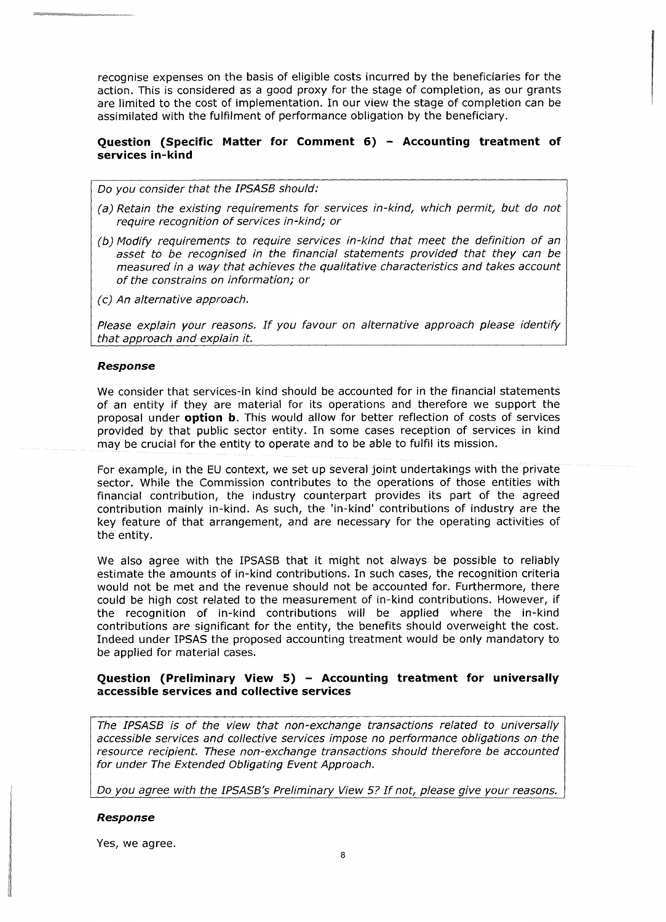recognise expenses on the basis of eligible costs incurred by the beneficiaries for the action. This is considered as a good proxy for the stage of completion, as our grants are limited to the cost of implementation. In our view the stage of completion can be assimilated with the fulfilment of performance obligation by the beneficiary.

# **Question (Specific Matter for Comment 6) - Accounting treatment of services in-kind**

*Do you consider that the IPSASB should:*

- *(a) Retain the existing requirements for services in-kind, which permit, but do not require recognition of services in-kind; or*
- *(b) Modify requirements to require services in-kind that meet the definition of an asset to be recognised in the financial statements provided that they can be measured in a way that achieves the qualitative characteristics and takes account of the constrains on information; or*
- *(c) An alternative approach.*

*Please explain your reasons. If you favour on alternative approach please identify that approach and explain it.*\_\_\_\_\_\_\_\_\_\_\_\_\_\_\_\_\_\_\_\_\_\_\_\_\_\_\_\_\_\_\_\_\_\_\_\_\_\_\_\_\_\_\_\_\_\_\_

#### *Response*

We consider that services-in kind should be accounted *for* in the financial statements of an entity if they are material for its operations and therefore we support the proposal under **option b.** This would allow for better reflection of costs of services provided by that public sector entity. In some cases reception of services in kind may be crucial for the entity to operate and to be able to fulfil its mission.

For example, in the EU context, we set up several joint undertakings with the private sector. While the Commission contributes to the operations of those entities with financial contribution, the industry counterpart provides its part of the agreed contribution mainly in-kind. As such, the 'in-kind' contributions of industry are the key feature of that arrangement, and are necessary for the operating activities of the entity.

We also agree with the IPSASB that it might not always be possible to reliably estimate the amounts of in-kind contributions. In such cases, the recognition criteria would not be met and the revenue should not be accounted for. Furthermore, there could be high cost related to the measurement of in-kind contributions. However, if the recognition of in-kind contributions will be applied where the in-kind contributions are significant for the entity, the benefits should overweight the cost. Indeed under IPSAS the proposed accounting treatment would be only mandatory to be applied for material cases.

# **Question (Preliminary View 5) - Accounting treatment for universally accessible services and collective services**

*The IPSASB is of the view that non-exchange transactions related to universally accessible services and collective services impose no performance obligations on the resource recipient. These non-exchange transactions should therefore be accounted for under The Extended Obligating Event Approach.*

*Do you agree with the IPSASB's Preliminary View 5? If not, please give your reasons.*

#### *Response*

Yes, we agree.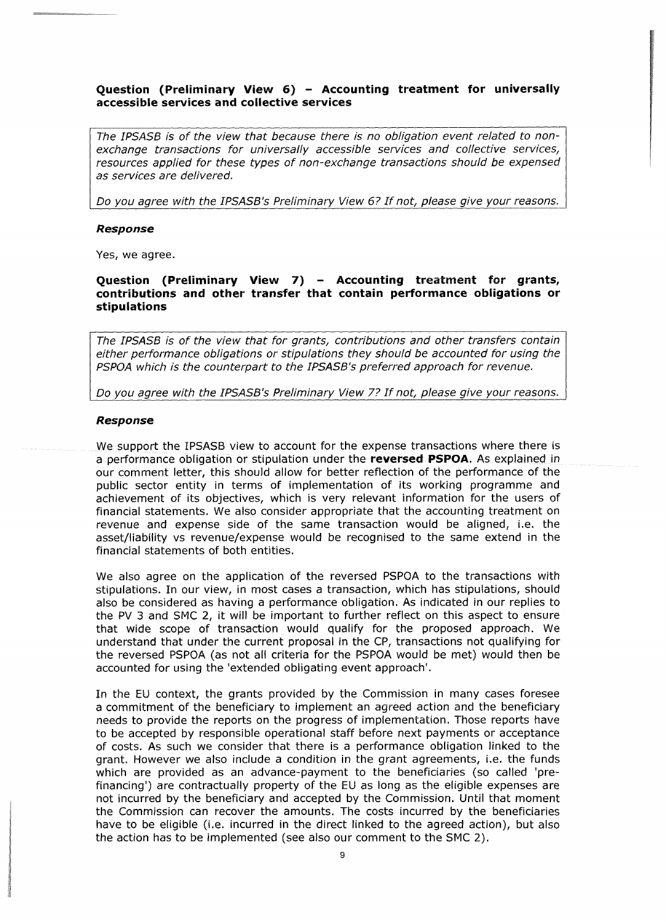# **Question (Preliminary View 6) - Accounting treatment for universally accessible services and collective services**

*The IPSASB is of the view that because there is no obligation event related to nonexchange transactions for universally accessible services and collective services, resources applied for these types of non-exchange transactions should be expensed as services are delivered.*

*Do you agree with the IPSASB's Preliminary View 6? If not, please give your reasons.*

#### *Response*

Yes, we agree.

# **Question (Preliminary View 7) - Accounting treatment for grants, contributions and other transfer that contain performance obligations or stipulations**

*The IPSASB is of the view that for grants, contributions and other transfers contain either performance obligations or stipulations they should be accounted for using the PSPOA which is the counterpart to the IPSASB's preferred approach for revenue.*

*Do you agree with the IPSASB's Preliminary View 7? If not, please give your reasons.*

#### *Response*

We support the IPSASB view to account for the expense transactions where there is a performance obligation or stipulation under the **reversed PSPOA.** As explained in our comment letter, this should allow for better reflection of the performance of the public sector entity in terms of implementation of its working programme and achievement of its objectives, which is very relevant information for the users of financial statements. We also consider appropriate that the accounting treatment on revenue and expense side of the same transaction would be aligned, i.e. the asset/liability vs revenue/expense would be recognised to the same extend in the financial statements of both entities.

We also agree on the application of the reversed PSPOA to the transactions with stipulations. In our view, in most cases a transaction, which has stipulations, should also be considered as having a performance obligation. As indicated in our replies to the PV 3 and SMC 2, it will be important to further reflect on this aspect to ensure that wide scope of transaction would qualify for the proposed approach. We understand that under the current proposal in the CP, transactions not qualifying for the reversed PSPOA (as not all criteria for the PSPOA would be met) would then be accounted for using the 'extended obligating event approach'.

In the EU context, the grants provided by the Commission in many cases foresee a commitment of the beneficiary to implement an agreed action and the beneficiary needs to provide the reports on the progress of implementation. Those reports have to be accepted by responsible operational staff before next payments or acceptance of costs. As such we consider that there is a performance obligation linked to the grant. However we also include a condition in the grant agreements, i.e. the funds which are provided as an advance-payment to the beneficiaries (so called 'prefinancing') are contractually property of the EU as long as the eligible expenses are not incurred by the beneficiary and accepted by the Commission. Until that moment the Commission can recover the amounts. The costs incurred by the beneficiaries have to be eligible (i.e. incurred in the direct linked to the agreed action), but also the action has to be implemented (see also our comment to the SMC 2).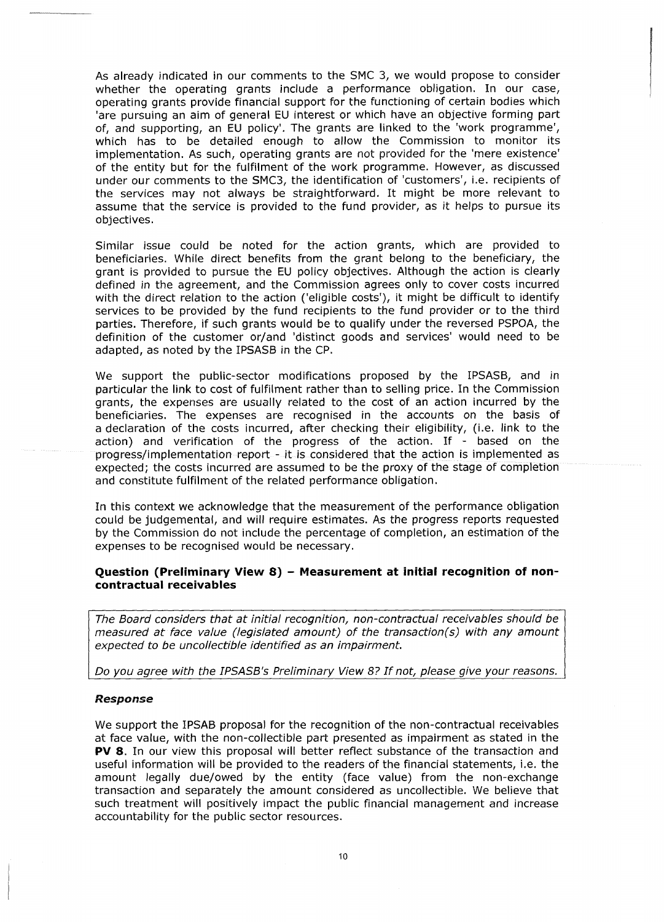As already indicated in our comments to the SMC 3, we would propose to consider whether the operating grants include a performance obligation. In our case, operating grants provide financial support for the functioning of certain bodies which 'are pursuing an aim of general EU interest or which have an objective forming part of, and supporting, an EU policy'. The grants are linked to the 'work programme', which has to be detailed enough to allow the Commission to monitor its implementation. As such, operating grants are not provided for the 'mere existence' of the entity but for the fulfilment of the work programme. However, as discussed under our comments to the SMC3, the identification of 'customers', i.e. recipients of the services may not always be straightforward. It might be more relevant to assume that the service is provided to the fund provider, as it helps to pursue its objectives.

Similar issue could be noted for the action grants, which are provided to beneficiaries. While direct benefits from the grant belong to the beneficiary, the grant is provided to pursue the EU policy objectives. Although the action is clearly defined in the agreement, and the Commission agrees only to cover costs incurred with the direct relation to the action ('eligible costs'), it might be difficult to identify services to be provided by the fund recipients to the fund provider or to the third parties. Therefore, if such grants would be to qualify under the reversed PSPOA, the definition of the customer or/and 'distinct goods and services' would need to be adapted, as noted by the IPSASB in the CP.

We support the public-sector modifications proposed by the IPSASB, and in particular the link to cost of fulfilment rather than to selling price. In the Commission grants, the expenses are usually related to the cost of an action incurred by the beneficiaries. The expenses are recognised in the accounts on the basis of a declaration of the costs incurred, after checking their eligibility, (i.e. link to the action) and verification of the progress of the action. If - based on the progress/implementation report - it is considered that the action is implemented as expected; the costs incurred are assumed to be the proxy of the stage of completion and constitute fulfilment of the related performance obligation.

In this context we acknowledge that the measurement of the performance obligation could be judgemental, and will require estimates. As the progress reports requested by the Commission do not include the percentage of completion, an estimation of the expenses to be recognised would be necessary.

# **Question (Preliminary View 8) - Measurement at initial recognition of noncontractual receivables**

*The Board considers that at initial recognition, non-contractual receivables should be measured at face value (legislated amount) of the transaction(s) with any amount expected to be uncollectible identified as an impairment.*

*Do you agree with the IPSASB's Preliminary View 8? If not, please give your reasons.*

#### *Response*

We support the IPSAB proposal for the recognition of the non-contractual receivables at face value, with the non-collectible part presented as impairment as stated in the **PV 8.** In our view this proposal will better reflect substance of the transaction and useful information will be provided to the readers of the financial statements, i.e. the amount legally due/owed by the entity (face value) from the non-exchange transaction and separately the amount considered as uncoiiectibie. We believe that such treatment will positively impact the public financial management and increase accountability for the public sector resources.